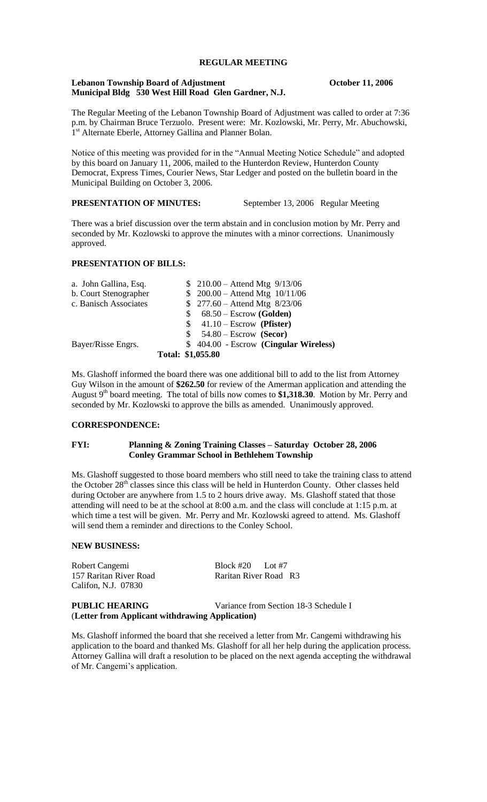# **REGULAR MEETING**

#### **Lebanon Township Board of Adjustment October 11, 2006 Municipal Bldg 530 West Hill Road Glen Gardner, N.J.**

The Regular Meeting of the Lebanon Township Board of Adjustment was called to order at 7:36 p.m. by Chairman Bruce Terzuolo. Present were: Mr. Kozlowski, Mr. Perry, Mr. Abuchowski, 1<sup>st</sup> Alternate Eberle, Attorney Gallina and Planner Bolan.

Notice of this meeting was provided for in the "Annual Meeting Notice Schedule" and adopted by this board on January 11, 2006, mailed to the Hunterdon Review, Hunterdon County Democrat, Express Times, Courier News, Star Ledger and posted on the bulletin board in the Municipal Building on October 3, 2006.

**PRESENTATION OF MINUTES:** September 13, 2006 Regular Meeting

There was a brief discussion over the term abstain and in conclusion motion by Mr. Perry and seconded by Mr. Kozlowski to approve the minutes with a minor corrections. Unanimously approved.

## **PRESENTATION OF BILLS:**

| a. John Gallina, Esq. |                   |    | $$210.00 - Attend Mtg 9/13/06$        |
|-----------------------|-------------------|----|---------------------------------------|
| b. Court Stenographer |                   |    | $$200.00 - Attend Mtg 10/11/06$       |
| c. Banisch Associates |                   |    | $$277.60 - Attend Mtg 8/23/06$        |
|                       |                   | S. | $68.50 - \text{Escrow}$ (Golden)      |
|                       |                   |    | $$41.10 - Escrow (Pfister)$           |
|                       |                   | S. | $54.80 - \text{Escrow}$ (Secor)       |
| Bayer/Risse Engrs.    |                   |    | \$404.00 - Escrow (Cingular Wireless) |
|                       | Total: \$1,055.80 |    |                                       |

Ms. Glashoff informed the board there was one additional bill to add to the list from Attorney Guy Wilson in the amount of **\$262.50** for review of the Amerman application and attending the August 9<sup>th</sup> board meeting. The total of bills now comes to \$1,318.30. Motion by Mr. Perry and seconded by Mr. Kozlowski to approve the bills as amended. Unanimously approved.

## **CORRESPONDENCE:**

## **FYI: Planning & Zoning Training Classes – Saturday October 28, 2006 Conley Grammar School in Bethlehem Township**

Ms. Glashoff suggested to those board members who still need to take the training class to attend the October 28<sup>th</sup> classes since this class will be held in Hunterdon County. Other classes held during October are anywhere from 1.5 to 2 hours drive away. Ms. Glashoff stated that those attending will need to be at the school at 8:00 a.m. and the class will conclude at 1:15 p.m. at which time a test will be given. Mr. Perry and Mr. Kozlowski agreed to attend. Ms. Glashoff will send them a reminder and directions to the Conley School.

#### **NEW BUSINESS:**

Robert Cangemi Block #20 Lot #7 157 Raritan River Road Raritan River Road R3 Califon, N.J. 07830

**PUBLIC HEARING** Variance from Section 18-3 Schedule I (**Letter from Applicant withdrawing Application)**

Ms. Glashoff informed the board that she received a letter from Mr. Cangemi withdrawing his application to the board and thanked Ms. Glashoff for all her help during the application process. Attorney Gallina will draft a resolution to be placed on the next agenda accepting the withdrawal of Mr. Cangemi's application.